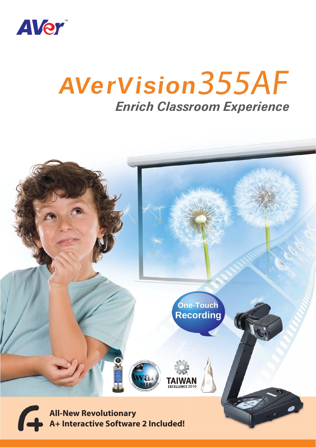

# *Enrich Classroom Experience* AVerVision 355AF

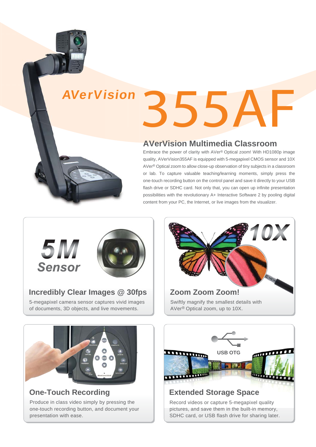# 355AF AVerVision

### **AVerVision Multimedia Classroom**

Embrace the power of clarity with AVer® Optical zoom! With HD1080p image quality, AVerVision355AF is equipped with 5-megapixel CMOS sensor and 10X AVer® Optical zoom to allow close-up observation of tiny subjects in a classroom or lab. To capture valuable teaching/learning moments, simply press the one-touch recording button on the control panel and save it directly to your USB flash drive or SDHC card. Not only that, you can open up infinite presentation possibilities with the revolutionary A+ Interactive Software 2 by pooling digital content from your PC, the Internet, or live images from the visualizer.



#### **Incredibly Clear Images @ 30fps**

5-megapixel camera sensor captures vivid images of documents, 3D objects, and live movements.





# **One-Touch Recording**

Produce in class video simply by pressing the one-touch recording button, and document your presentation with ease.



# **Extended Storage Space**

Record videos or capture 5-megapixel quality pictures, and save them in the built-in memory, SDHC card, or USB flash drive for sharing later.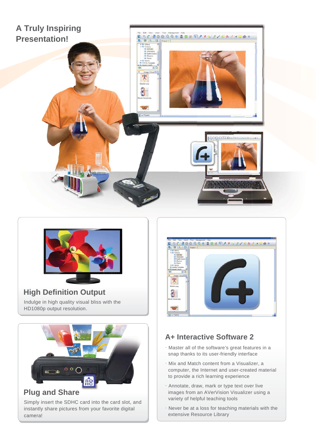



#### Indulge in high quality visual bliss with the HD1080p output resolution. **High Definition Output**



#### Simply insert the SDHC card into the card slot, and instantly share pictures from your favorite digital camera!



# **A+ Interactive Software 2**

- .Master all of the software's great features in a snap thanks to its user-friendly interface
- .Mix and Match content from a Visualizer, a computer, the Internet and user-created material to provide a rich learning experience
- .Annotate, draw, mark or type text over live images from an AVerVision Visualizer using a variety of helpful teaching tools
- $\cdot$  Never be at a loss for teaching materials with the extensive Resource Library